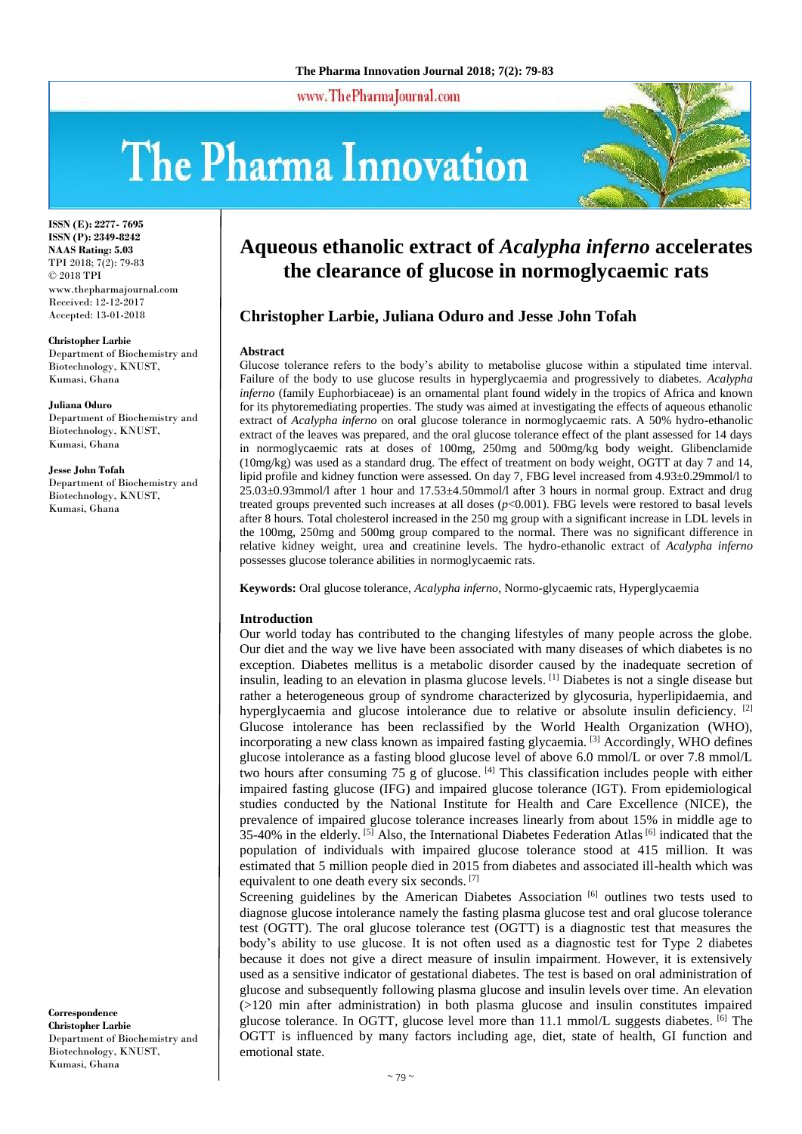www.ThePharmaJournal.com

# The Pharma Innovation



**ISSN (E): 2277- 7695 ISSN (P): 2349-8242 NAAS Rating: 5.03** TPI 2018; 7(2): 79-83 © 2018 TPI www.thepharmajournal.com Received: 12-12-2017 Accepted: 13-01-2018

**Christopher Larbie**

Department of Biochemistry and Biotechnology, KNUST, Kumasi, Ghana

**Juliana Oduro** Department of Biochemistry and Biotechnology, KNUST, Kumasi, Ghana

**Jesse John Tofah**

Department of Biochemistry and Biotechnology, KNUST, Kumasi, Ghana

# **Aqueous ethanolic extract of** *Acalypha inferno* **accelerates the clearance of glucose in normoglycaemic rats**

# **Christopher Larbie, Juliana Oduro and Jesse John Tofah**

#### **Abstract**

Glucose tolerance refers to the body's ability to metabolise glucose within a stipulated time interval. Failure of the body to use glucose results in hyperglycaemia and progressively to diabetes. *Acalypha inferno* (family Euphorbiaceae) is an ornamental plant found widely in the tropics of Africa and known for its phytoremediating properties. The study was aimed at investigating the effects of aqueous ethanolic extract of *Acalypha inferno* on oral glucose tolerance in normoglycaemic rats. A 50% hydro-ethanolic extract of the leaves was prepared, and the oral glucose tolerance effect of the plant assessed for 14 days in normoglycaemic rats at doses of 100mg, 250mg and 500mg/kg body weight. Glibenclamide (10mg/kg) was used as a standard drug. The effect of treatment on body weight, OGTT at day 7 and 14, lipid profile and kidney function were assessed. On day 7, FBG level increased from 4.93±0.29mmol/l to 25.03±0.93mmol/l after 1 hour and 17.53±4.50mmol/l after 3 hours in normal group. Extract and drug treated groups prevented such increases at all doses (*p*<0.001). FBG levels were restored to basal levels after 8 hours. Total cholesterol increased in the 250 mg group with a significant increase in LDL levels in the 100mg, 250mg and 500mg group compared to the normal. There was no significant difference in relative kidney weight, urea and creatinine levels. The hydro-ethanolic extract of *Acalypha inferno*  possesses glucose tolerance abilities in normoglycaemic rats.

**Keywords:** Oral glucose tolerance, *Acalypha inferno*, Normo-glycaemic rats, Hyperglycaemia

#### **Introduction**

Our world today has contributed to the changing lifestyles of many people across the globe. Our diet and the way we live have been associated with many diseases of which diabetes is no exception. Diabetes mellitus is a metabolic disorder caused by the inadequate secretion of insulin, leading to an elevation in plasma glucose levels. [1] Diabetes is not a single disease but rather a heterogeneous group of syndrome characterized by glycosuria, hyperlipidaemia, and hyperglycaemia and glucose intolerance due to relative or absolute insulin deficiency. <sup>[2]</sup> Glucose intolerance has been reclassified by the World Health Organization (WHO), incorporating a new class known as impaired fasting glycaemia. [3] Accordingly, WHO defines glucose intolerance as a fasting blood glucose level of above 6.0 mmol/L or over 7.8 mmol/L two hours after consuming  $75 \text{ g}$  of glucose. [4] This classification includes people with either impaired fasting glucose (IFG) and impaired glucose tolerance (IGT). From epidemiological studies conducted by the National Institute for Health and Care Excellence (NICE), the prevalence of impaired glucose tolerance increases linearly from about 15% in middle age to 35-40% in the elderly. <sup>[5]</sup> Also, the International Diabetes Federation Atlas <sup>[6]</sup> indicated that the population of individuals with impaired glucose tolerance stood at 415 million. It was estimated that 5 million people died in 2015 from diabetes and associated ill-health which was equivalent to one death every six seconds. [7]

Screening guidelines by the American Diabetes Association [6] outlines two tests used to diagnose glucose intolerance namely the fasting plasma glucose test and oral glucose tolerance test (OGTT). The oral glucose tolerance test (OGTT) is a diagnostic test that measures the body's ability to use glucose. It is not often used as a diagnostic test for Type 2 diabetes because it does not give a direct measure of insulin impairment. However, it is extensively used as a sensitive indicator of gestational diabetes. The test is based on oral administration of glucose and subsequently following plasma glucose and insulin levels over time. An elevation (>120 min after administration) in both plasma glucose and insulin constitutes impaired glucose tolerance. In OGTT, glucose level more than 11.1 mmol/L suggests diabetes. [6] The OGTT is influenced by many factors including age, diet, state of health, GI function and emotional state.

**Correspondence Christopher Larbie** Department of Biochemistry and Biotechnology, KNUST, Kumasi, Ghana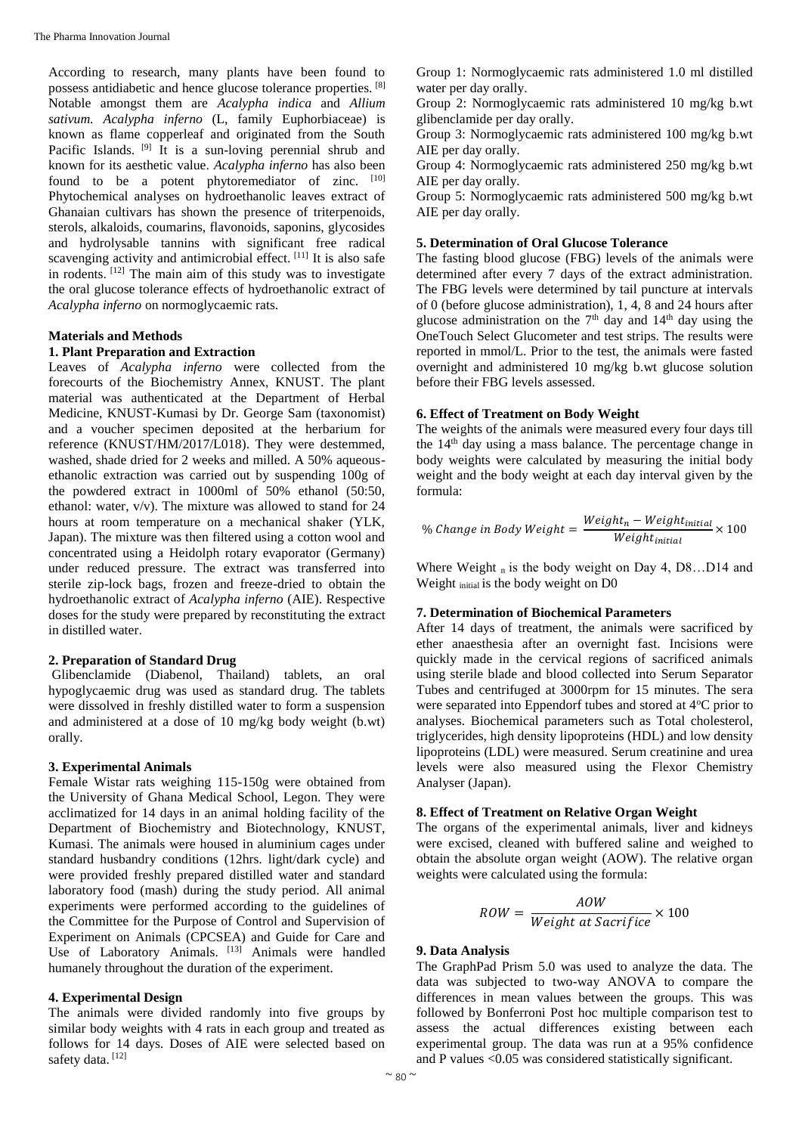According to research, many plants have been found to possess antidiabetic and hence glucose tolerance properties. [8] Notable amongst them are *Acalypha indica* and *Allium sativum. Acalypha inferno* (L, family Euphorbiaceae) is known as flame copperleaf and originated from the South Pacific Islands. <sup>[9]</sup> It is a sun-loving perennial shrub and known for its aesthetic value. *Acalypha inferno* has also been found to be a potent phytoremediator of zinc.  $[10]$ Phytochemical analyses on hydroethanolic leaves extract of Ghanaian cultivars has shown the presence of triterpenoids, sterols, alkaloids, coumarins, flavonoids, saponins, glycosides and hydrolysable tannins with significant free radical scavenging activity and antimicrobial effect. [11] It is also safe in rodents. [12] The main aim of this study was to investigate the oral glucose tolerance effects of hydroethanolic extract of *Acalypha inferno* on normoglycaemic rats.

### **Materials and Methods**

#### **1. Plant Preparation and Extraction**

Leaves of *Acalypha inferno* were collected from the forecourts of the Biochemistry Annex, KNUST. The plant material was authenticated at the Department of Herbal Medicine, KNUST-Kumasi by Dr. George Sam (taxonomist) and a voucher specimen deposited at the herbarium for reference (KNUST/HM/2017/L018). They were destemmed, washed, shade dried for 2 weeks and milled. A 50% aqueousethanolic extraction was carried out by suspending 100g of the powdered extract in 1000ml of 50% ethanol (50:50, ethanol: water, v/v). The mixture was allowed to stand for 24 hours at room temperature on a mechanical shaker (YLK, Japan). The mixture was then filtered using a cotton wool and concentrated using a Heidolph rotary evaporator (Germany) under reduced pressure. The extract was transferred into sterile zip-lock bags, frozen and freeze-dried to obtain the hydroethanolic extract of *Acalypha inferno* (AIE). Respective doses for the study were prepared by reconstituting the extract in distilled water.

# **2. Preparation of Standard Drug**

Glibenclamide (Diabenol, Thailand) tablets, an oral hypoglycaemic drug was used as standard drug. The tablets were dissolved in freshly distilled water to form a suspension and administered at a dose of 10 mg/kg body weight (b.wt) orally.

#### **3. Experimental Animals**

Female Wistar rats weighing 115-150g were obtained from the University of Ghana Medical School, Legon. They were acclimatized for 14 days in an animal holding facility of the Department of Biochemistry and Biotechnology, KNUST, Kumasi. The animals were housed in aluminium cages under standard husbandry conditions (12hrs. light/dark cycle) and were provided freshly prepared distilled water and standard laboratory food (mash) during the study period. All animal experiments were performed according to the guidelines of the Committee for the Purpose of Control and Supervision of Experiment on Animals (CPCSEA) and Guide for Care and Use of Laboratory Animals. [13] Animals were handled humanely throughout the duration of the experiment.

# **4. Experimental Design**

The animals were divided randomly into five groups by similar body weights with 4 rats in each group and treated as follows for 14 days. Doses of AIE were selected based on safety data.<sup>[12]</sup>

Group 1: Normoglycaemic rats administered 1.0 ml distilled water per day orally.

Group 2: Normoglycaemic rats administered 10 mg/kg b.wt glibenclamide per day orally.

Group 3: Normoglycaemic rats administered 100 mg/kg b.wt AIE per day orally.

Group 4: Normoglycaemic rats administered 250 mg/kg b.wt AIE per day orally.

Group 5: Normoglycaemic rats administered 500 mg/kg b.wt AIE per day orally.

# **5. Determination of Oral Glucose Tolerance**

The fasting blood glucose (FBG) levels of the animals were determined after every 7 days of the extract administration. The FBG levels were determined by tail puncture at intervals of 0 (before glucose administration), 1, 4, 8 and 24 hours after glucose administration on the  $7<sup>th</sup>$  day and  $14<sup>th</sup>$  day using the OneTouch Select Glucometer and test strips. The results were reported in mmol/L. Prior to the test, the animals were fasted overnight and administered 10 mg/kg b.wt glucose solution before their FBG levels assessed.

# **6. Effect of Treatment on Body Weight**

The weights of the animals were measured every four days till the 14th day using a mass balance. The percentage change in body weights were calculated by measuring the initial body weight and the body weight at each day interval given by the formula:

$$
\% Change in Body Weight = \frac{Weight_n - Weight_{initial}}{Weight_{initial}} \times 100
$$

Where Weight  $n$  is the body weight on Day 4, D8...D14 and Weight initial is the body weight on D0

# **7. Determination of Biochemical Parameters**

After 14 days of treatment, the animals were sacrificed by ether anaesthesia after an overnight fast. Incisions were quickly made in the cervical regions of sacrificed animals using sterile blade and blood collected into Serum Separator Tubes and centrifuged at 3000rpm for 15 minutes. The sera were separated into Eppendorf tubes and stored at 4°C prior to analyses. Biochemical parameters such as Total cholesterol, triglycerides, high density lipoproteins (HDL) and low density lipoproteins (LDL) were measured. Serum creatinine and urea levels were also measured using the Flexor Chemistry Analyser (Japan).

#### **8. Effect of Treatment on Relative Organ Weight**

The organs of the experimental animals, liver and kidneys were excised, cleaned with buffered saline and weighed to obtain the absolute organ weight (AOW). The relative organ weights were calculated using the formula:

$$
ROW = \frac{AOW}{Weight at Sacrifice} \times 100
$$

# **9. Data Analysis**

The GraphPad Prism 5.0 was used to analyze the data. The data was subjected to two-way ANOVA to compare the differences in mean values between the groups. This was followed by Bonferroni Post hoc multiple comparison test to assess the actual differences existing between each experimental group. The data was run at a 95% confidence and P values <0.05 was considered statistically significant.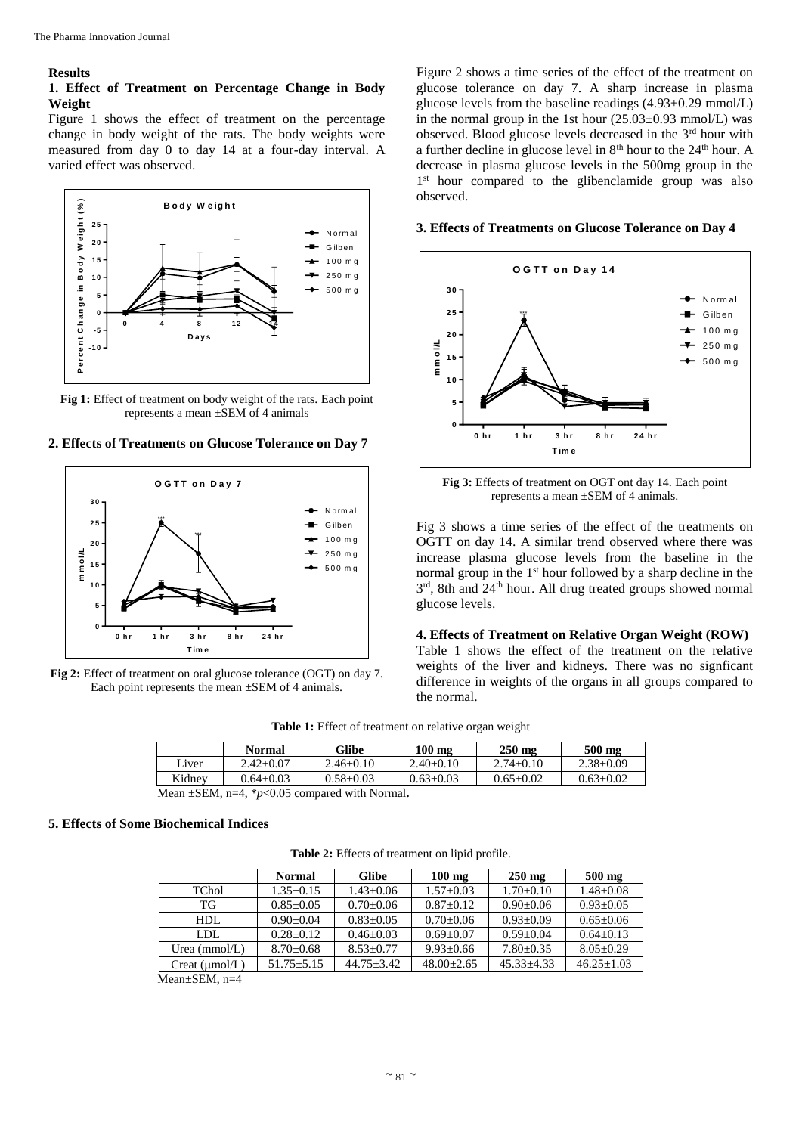#### **Results**

#### **1. Effect of Treatment on Percentage Change in Body Weight**

Figure 1 shows the effect of treatment on the percentage change in body weight of the rats. The body weights were measured from day 0 to day 14 at a four-day interval. A varied effect was observed.



Fig 1: Effect of treatment on body weight of the rats. Each point represents a mean ±SEM of 4 animals

#### **2. Effects of Treatments on Glucose Tolerance on Day 7**



**Fig 2:** Effect of treatment on oral glucose tolerance (OGT) on day 7. Each point represents the mean  $\pm$ SEM of 4 animals.

Figure 2 shows a time series of the effect of the treatment on glucose tolerance on day 7. A sharp increase in plasma glucose levels from the baseline readings (4.93±0.29 mmol/L) in the normal group in the 1st hour  $(25.03\pm0.93 \text{ mmol/L})$  was observed. Blood glucose levels decreased in the 3rd hour with a further decline in glucose level in 8<sup>th</sup> hour to the 24<sup>th</sup> hour. A decrease in plasma glucose levels in the 500mg group in the 1<sup>st</sup> hour compared to the glibenclamide group was also observed.

#### **3. Effects of Treatments on Glucose Tolerance on Day 4**



**Fig 3:** Effects of treatment on OGT ont day 14. Each point represents a mean ±SEM of 4 animals.

Fig 3 shows a time series of the effect of the treatments on OGTT on day 14. A similar trend observed where there was increase plasma glucose levels from the baseline in the normal group in the 1<sup>st</sup> hour followed by a sharp decline in the 3<sup>rd</sup>, 8th and 24<sup>th</sup> hour. All drug treated groups showed normal glucose levels.

**4. Effects of Treatment on Relative Organ Weight (ROW)** Table 1 shows the effect of the treatment on the relative weights of the liver and kidneys. There was no signficant difference in weights of the organs in all groups compared to the normal.

|        | <b>Normal</b>   | Glibe           | $100 \text{ mg}$ | $250 \text{ mg}$ | 500 mg          |
|--------|-----------------|-----------------|------------------|------------------|-----------------|
| Liver  | $2.42+0.07$     | $2.46+0.10$     | $2.40+0.10$      | $2.74+0.10$      | $2.38+0.09$     |
| Kidney | $0.64 \pm 0.03$ | $0.58 \pm 0.03$ | $0.63 \pm 0.03$  | $0.65 \pm 0.02$  | $0.63 \pm 0.02$ |
|        |                 |                 |                  |                  |                 |

**Table 1:** Effect of treatment on relative organ weight

Mean ±SEM, n=4, \**p*<0.05 compared with Normal**.**

# **5. Effects of Some Biochemical Indices**

**Table 2:** Effects of treatment on lipid profile.

|                   | <b>Normal</b>   | <b>Glibe</b>   | $100 \text{ mg}$ | $250 \text{ mg}$ | $500$ mg         |
|-------------------|-----------------|----------------|------------------|------------------|------------------|
| TChol             | $1.35+0.15$     | $1.43 + 0.06$  | $1.57+0.03$      | $1.70+0.10$      | $1.48 + 0.08$    |
| TG                | $0.85 + 0.05$   | $0.70 + 0.06$  | $0.87+0.12$      | $0.90 + 0.06$    | $0.93+0.05$      |
| HDL.              | $0.90 + 0.04$   | $0.83 + 0.05$  | $0.70 + 0.06$    | $0.93+0.09$      | $0.65 \pm 0.06$  |
| LDL.              | $0.28 + 0.12$   | $0.46 + 0.03$  | $0.69 + 0.07$    | $0.59 + 0.04$    | $0.64 + 0.13$    |
| Urea ( $mmol/L$ ) | $8.70 \pm 0.68$ | $8.53 + 0.77$  | $9.93 + 0.66$    | $7.80 + 0.35$    | $8.05+0.29$      |
| Creat (µmol/L)    | $51.75 + 5.15$  | $44.75 + 3.42$ | $48.00+2.65$     | $45.33 + 4.33$   | $46.25 \pm 1.03$ |

Mean±SEM, n=4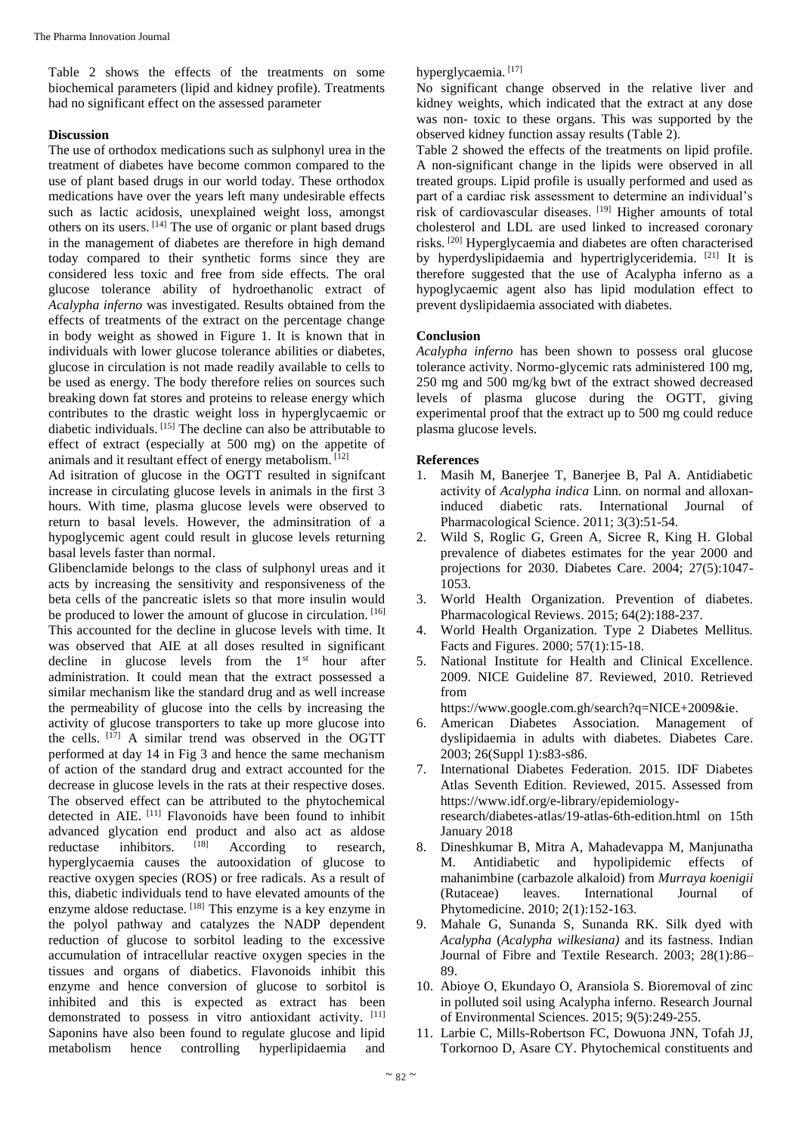Table 2 shows the effects of the treatments on some biochemical parameters (lipid and kidney profile). Treatments had no significant effect on the assessed parameter

# **Discussion**

The use of orthodox medications such as sulphonyl urea in the treatment of diabetes have become common compared to the use of plant based drugs in our world today. These orthodox medications have over the years left many undesirable effects such as lactic acidosis, unexplained weight loss, amongst others on its users. [14] The use of organic or plant based drugs in the management of diabetes are therefore in high demand today compared to their synthetic forms since they are considered less toxic and free from side effects. The oral glucose tolerance ability of hydroethanolic extract of *Acalypha inferno* was investigated. Results obtained from the effects of treatments of the extract on the percentage change in body weight as showed in Figure 1. It is known that in individuals with lower glucose tolerance abilities or diabetes, glucose in circulation is not made readily available to cells to be used as energy. The body therefore relies on sources such breaking down fat stores and proteins to release energy which contributes to the drastic weight loss in hyperglycaemic or diabetic individuals. [15] The decline can also be attributable to effect of extract (especially at 500 mg) on the appetite of animals and it resultant effect of energy metabolism. [12]

Ad isitration of glucose in the OGTT resulted in signifcant increase in circulating glucose levels in animals in the first 3 hours. With time, plasma glucose levels were observed to return to basal levels. However, the adminsitration of a hypoglycemic agent could result in glucose levels returning basal levels faster than normal.

Glibenclamide belongs to the class of sulphonyl ureas and it acts by increasing the sensitivity and responsiveness of the beta cells of the pancreatic islets so that more insulin would be produced to lower the amount of glucose in circulation.  $[16]$ This accounted for the decline in glucose levels with time. It was observed that AIE at all doses resulted in significant decline in glucose levels from the  $1<sup>st</sup>$  hour after administration. It could mean that the extract possessed a similar mechanism like the standard drug and as well increase the permeability of glucose into the cells by increasing the activity of glucose transporters to take up more glucose into the cells. [17] A similar trend was observed in the OGTT performed at day 14 in Fig 3 and hence the same mechanism of action of the standard drug and extract accounted for the decrease in glucose levels in the rats at their respective doses. The observed effect can be attributed to the phytochemical detected in AIE. [11] Flavonoids have been found to inhibit advanced glycation end product and also act as aldose<br>reductase inhibitors.  $^{[18]}$  According to research. reductase inhibitors.  $[18]$  According to research, hyperglycaemia causes the autooxidation of glucose to reactive oxygen species (ROS) or free radicals. As a result of this, diabetic individuals tend to have elevated amounts of the enzyme aldose reductase. [18] This enzyme is a key enzyme in the polyol pathway and catalyzes the NADP dependent reduction of glucose to sorbitol leading to the excessive accumulation of intracellular reactive oxygen species in the tissues and organs of diabetics. Flavonoids inhibit this enzyme and hence conversion of glucose to sorbitol is inhibited and this is expected as extract has been demonstrated to possess in vitro antioxidant activity. [11] Saponins have also been found to regulate glucose and lipid metabolism hence controlling hyperlipidaemia and

# hyperglycaemia. [17]

No significant change observed in the relative liver and kidney weights, which indicated that the extract at any dose was non- toxic to these organs. This was supported by the observed kidney function assay results (Table 2).

Table 2 showed the effects of the treatments on lipid profile. A non-significant change in the lipids were observed in all treated groups. Lipid profile is usually performed and used as part of a cardiac risk assessment to determine an individual's risk of cardiovascular diseases. [19] Higher amounts of total cholesterol and LDL are used linked to increased coronary risks. [20] Hyperglycaemia and diabetes are often characterised by hyperdyslipidaemia and hypertriglyceridemia. [21] It is therefore suggested that the use of Acalypha inferno as a hypoglycaemic agent also has lipid modulation effect to prevent dyslipidaemia associated with diabetes.

# **Conclusion**

*Acalypha inferno* has been shown to possess oral glucose tolerance activity. Normo-glycemic rats administered 100 mg, 250 mg and 500 mg/kg bwt of the extract showed decreased levels of plasma glucose during the OGTT, giving experimental proof that the extract up to 500 mg could reduce plasma glucose levels.

# **References**

- 1. Masih M, Banerjee T, Banerjee B, Pal A. Antidiabetic activity of *Acalypha indica* Linn. on normal and alloxaninduced diabetic rats. International Journal of Pharmacological Science. 2011; 3(3):51-54.
- 2. Wild S, Roglic G, Green A, Sicree R, King H. Global prevalence of diabetes estimates for the year 2000 and projections for 2030. Diabetes Care. 2004; 27(5):1047- 1053.
- 3. World Health Organization. Prevention of diabetes. Pharmacological Reviews. 2015; 64(2):188-237.
- 4. World Health Organization. Type 2 Diabetes Mellitus. Facts and Figures. 2000; 57(1):15-18.
- 5. National Institute for Health and Clinical Excellence. 2009. NICE Guideline 87. Reviewed, 2010. Retrieved from

https://www.google.com.gh/search?q=NICE+2009&ie.

- 6. American Diabetes Association. Management of dyslipidaemia in adults with diabetes. Diabetes Care. 2003; 26(Suppl 1):s83-s86.
- 7. International Diabetes Federation. 2015. IDF Diabetes Atlas Seventh Edition. Reviewed, 2015. Assessed from https://www.idf.org/e-library/epidemiologyresearch/diabetes-atlas/19-atlas-6th-edition.html on 15th January 2018
- 8. Dineshkumar B, Mitra A, Mahadevappa M, Manjunatha M. Antidiabetic and hypolipidemic effects of mahanimbine (carbazole alkaloid) from *Murraya koenigii* (Rutaceae) leaves. International Journal of Phytomedicine. 2010; 2(1):152-163.
- 9. Mahale G, Sunanda S, Sunanda RK. Silk dyed with *Acalypha* (*Acalypha wilkesiana)* and its fastness. Indian Journal of Fibre and Textile Research. 2003; 28(1):86– 89.
- 10. Abioye O, Ekundayo O, Aransiola S. Bioremoval of zinc in polluted soil using Acalypha inferno. Research Journal of Environmental Sciences. 2015; 9(5):249-255.
- 11. Larbie C, Mills-Robertson FC, Dowuona JNN, Tofah JJ, Torkornoo D, Asare CY. Phytochemical constituents and